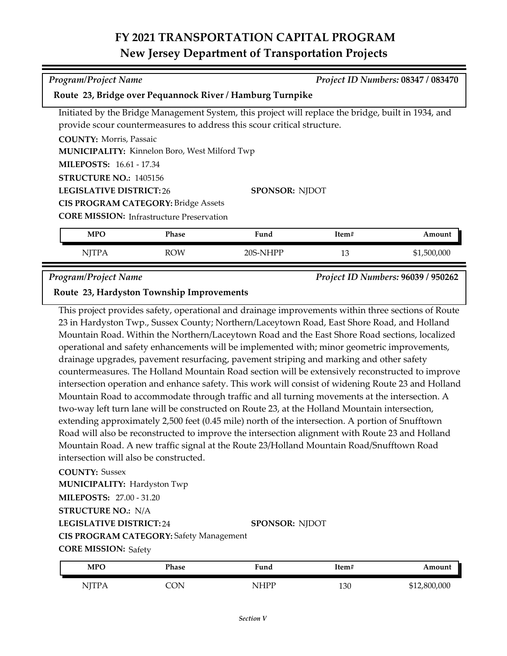## **FY 2021 TRANSPORTATION CAPITAL PROGRAM New Jersey Department of Transportation Projects**

| Program/Project Name                                                                                                      |              |                                                                                                                                                                                | Project ID Numbers: 08347 / 083470 |             |  |
|---------------------------------------------------------------------------------------------------------------------------|--------------|--------------------------------------------------------------------------------------------------------------------------------------------------------------------------------|------------------------------------|-------------|--|
| Route 23, Bridge over Pequannock River / Hamburg Turnpike                                                                 |              |                                                                                                                                                                                |                                    |             |  |
|                                                                                                                           |              | Initiated by the Bridge Management System, this project will replace the bridge, built in 1934, and<br>provide scour countermeasures to address this scour critical structure. |                                    |             |  |
| <b>COUNTY:</b> Morris, Passaic<br><b>MUNICIPALITY:</b> Kinnelon Boro, West Milford Twp<br><b>MILEPOSTS: 16.61 - 17.34</b> |              |                                                                                                                                                                                |                                    |             |  |
| <b>STRUCTURE NO.: 1405156</b><br><b>LEGISLATIVE DISTRICT: 26</b>                                                          |              | <b>SPONSOR: NJDOT</b>                                                                                                                                                          |                                    |             |  |
| <b>CIS PROGRAM CATEGORY: Bridge Assets</b><br><b>CORE MISSION:</b> Infrastructure Preservation                            |              |                                                                                                                                                                                |                                    |             |  |
| <b>MPO</b>                                                                                                                | <b>Phase</b> | Fund                                                                                                                                                                           | Item#                              | Amount      |  |
| <b>NJTPA</b>                                                                                                              | <b>ROW</b>   | 20S-NHPP                                                                                                                                                                       | 13                                 | \$1,500,000 |  |

*Program/Project Name Project ID Numbers:* **96039 / 950262**

## **Route 23, Hardyston Township Improvements**

This project provides safety, operational and drainage improvements within three sections of Route 23 in Hardyston Twp., Sussex County; Northern/Laceytown Road, East Shore Road, and Holland Mountain Road. Within the Northern/Laceytown Road and the East Shore Road sections, localized operational and safety enhancements will be implemented with; minor geometric improvements, drainage upgrades, pavement resurfacing, pavement striping and marking and other safety countermeasures. The Holland Mountain Road section will be extensively reconstructed to improve intersection operation and enhance safety. This work will consist of widening Route 23 and Holland Mountain Road to accommodate through traffic and all turning movements at the intersection. A two-way left turn lane will be constructed on Route 23, at the Holland Mountain intersection, extending approximately 2,500 feet (0.45 mile) north of the intersection. A portion of Snufftown Road will also be reconstructed to improve the intersection alignment with Route 23 and Holland Mountain Road. A new traffic signal at the Route 23/Holland Mountain Road/Snufftown Road intersection will also be constructed.

### **COUNTY:** Sussex

**MILEPOSTS:** 27.00 - 31.20 **MUNICIPALITY: Hardyston Twp** 

**STRUCTURE NO.:** N/A

**LEGISLATIVE DISTRICT:** 24

**SPONSOR:** NJDOT

**CORE MISSION: Safety CIS PROGRAM CATEGORY:** Safety Management

| MPO          | Phase | Fund | Item# | Amount       |
|--------------|-------|------|-------|--------------|
| <b>NJTPA</b> | ON    | NHPP | 130   | \$12,800,000 |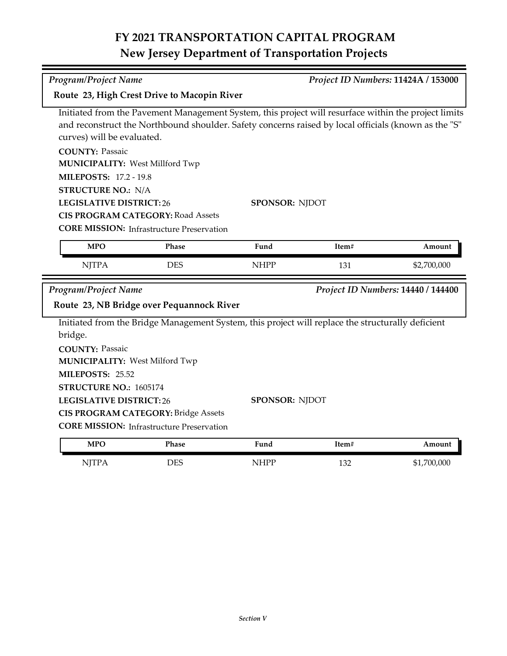# **FY 2021 TRANSPORTATION CAPITAL PROGRAM New Jersey Department of Transportation Projects**

*Program/Project Name Project ID Numbers:* **11424A / 153000**

| Route 23, High Crest Drive to Macopin River                      |                                                                                      |                                                                                                                                                                                                              |       |                                    |  |  |
|------------------------------------------------------------------|--------------------------------------------------------------------------------------|--------------------------------------------------------------------------------------------------------------------------------------------------------------------------------------------------------------|-------|------------------------------------|--|--|
| curves) will be evaluated.                                       |                                                                                      | Initiated from the Pavement Management System, this project will resurface within the project limits<br>and reconstruct the Northbound shoulder. Safety concerns raised by local officials (known as the "S" |       |                                    |  |  |
|                                                                  |                                                                                      |                                                                                                                                                                                                              |       |                                    |  |  |
| <b>COUNTY: Passaic</b><br><b>MUNICIPALITY: West Millford Twp</b> |                                                                                      |                                                                                                                                                                                                              |       |                                    |  |  |
| <b>MILEPOSTS: 17.2 - 19.8</b>                                    |                                                                                      |                                                                                                                                                                                                              |       |                                    |  |  |
|                                                                  |                                                                                      |                                                                                                                                                                                                              |       |                                    |  |  |
|                                                                  | <b>STRUCTURE NO.: N/A</b><br><b>LEGISLATIVE DISTRICT:26</b><br><b>SPONSOR: NJDOT</b> |                                                                                                                                                                                                              |       |                                    |  |  |
|                                                                  | <b>CIS PROGRAM CATEGORY: Road Assets</b>                                             |                                                                                                                                                                                                              |       |                                    |  |  |
|                                                                  | <b>CORE MISSION:</b> Infrastructure Preservation                                     |                                                                                                                                                                                                              |       |                                    |  |  |
| <b>MPO</b>                                                       | <b>Phase</b>                                                                         | Fund                                                                                                                                                                                                         | Item# | Amount                             |  |  |
|                                                                  |                                                                                      |                                                                                                                                                                                                              |       |                                    |  |  |
| <b>NJTPA</b>                                                     | <b>DES</b>                                                                           | <b>NHPP</b>                                                                                                                                                                                                  | 131   | \$2,700,000                        |  |  |
|                                                                  |                                                                                      |                                                                                                                                                                                                              |       |                                    |  |  |
| <b>Program/Project Name</b>                                      |                                                                                      |                                                                                                                                                                                                              |       | Project ID Numbers: 14440 / 144400 |  |  |
|                                                                  | Route 23, NB Bridge over Pequannock River                                            |                                                                                                                                                                                                              |       |                                    |  |  |
|                                                                  |                                                                                      | Initiated from the Bridge Management System, this project will replace the structurally deficient                                                                                                            |       |                                    |  |  |
| bridge.                                                          |                                                                                      |                                                                                                                                                                                                              |       |                                    |  |  |
| <b>COUNTY: Passaic</b>                                           |                                                                                      |                                                                                                                                                                                                              |       |                                    |  |  |
| <b>MUNICIPALITY: West Milford Twp</b>                            |                                                                                      |                                                                                                                                                                                                              |       |                                    |  |  |
| MILEPOSTS: 25.52                                                 |                                                                                      |                                                                                                                                                                                                              |       |                                    |  |  |
| STRUCTURE NO.: 1605174                                           |                                                                                      |                                                                                                                                                                                                              |       |                                    |  |  |
| <b>LEGISLATIVE DISTRICT:26</b>                                   |                                                                                      | <b>SPONSOR: NJDOT</b>                                                                                                                                                                                        |       |                                    |  |  |
|                                                                  | <b>CIS PROGRAM CATEGORY: Bridge Assets</b>                                           |                                                                                                                                                                                                              |       |                                    |  |  |
|                                                                  | <b>CORE MISSION:</b> Infrastructure Preservation                                     |                                                                                                                                                                                                              |       |                                    |  |  |
| <b>MPO</b>                                                       | <b>Phase</b>                                                                         | Fund                                                                                                                                                                                                         | Item# | Amount                             |  |  |